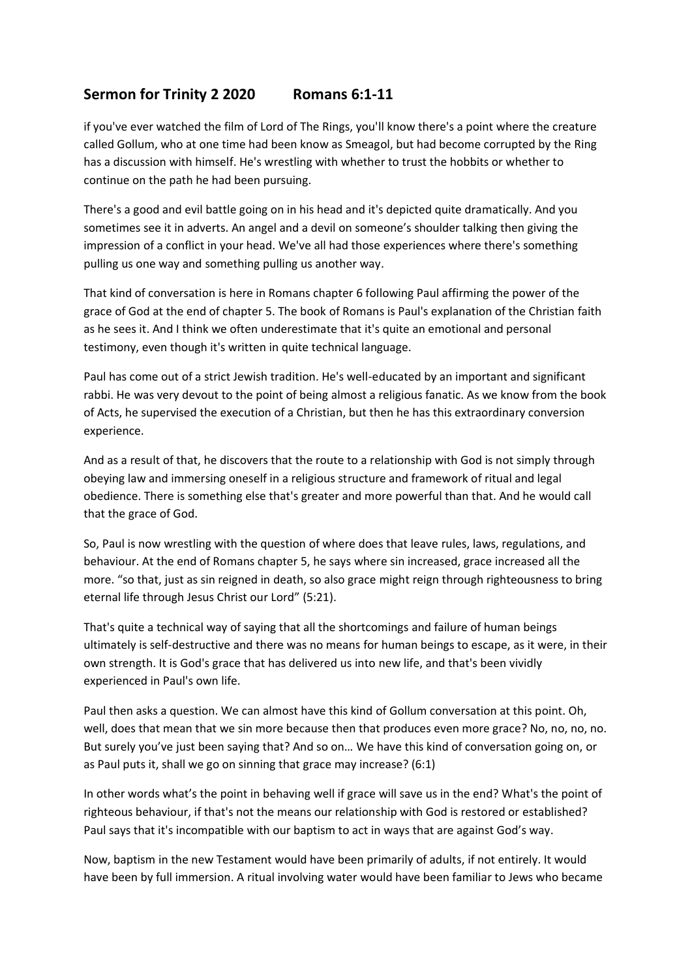## **Sermon for Trinity 2 2020 Romans 6:1-11**

if you've ever watched the film of Lord of The Rings, you'll know there's a point where the creature called Gollum, who at one time had been know as Smeagol, but had become corrupted by the Ring has a discussion with himself. He's wrestling with whether to trust the hobbits or whether to continue on the path he had been pursuing.

There's a good and evil battle going on in his head and it's depicted quite dramatically. And you sometimes see it in adverts. An angel and a devil on someone's shoulder talking then giving the impression of a conflict in your head. We've all had those experiences where there's something pulling us one way and something pulling us another way.

That kind of conversation is here in Romans chapter 6 following Paul affirming the power of the grace of God at the end of chapter 5. The book of Romans is Paul's explanation of the Christian faith as he sees it. And I think we often underestimate that it's quite an emotional and personal testimony, even though it's written in quite technical language.

Paul has come out of a strict Jewish tradition. He's well-educated by an important and significant rabbi. He was very devout to the point of being almost a religious fanatic. As we know from the book of Acts, he supervised the execution of a Christian, but then he has this extraordinary conversion experience.

And as a result of that, he discovers that the route to a relationship with God is not simply through obeying law and immersing oneself in a religious structure and framework of ritual and legal obedience. There is something else that's greater and more powerful than that. And he would call that the grace of God.

So, Paul is now wrestling with the question of where does that leave rules, laws, regulations, and behaviour. At the end of Romans chapter 5, he says where sin increased, grace increased all the more. "so that, just as sin reigned in death, so also grace might reign through righteousness to bring eternal life through Jesus Christ our Lord" (5:21).

That's quite a technical way of saying that all the shortcomings and failure of human beings ultimately is self-destructive and there was no means for human beings to escape, as it were, in their own strength. It is God's grace that has delivered us into new life, and that's been vividly experienced in Paul's own life.

Paul then asks a question. We can almost have this kind of Gollum conversation at this point. Oh, well, does that mean that we sin more because then that produces even more grace? No, no, no, no. But surely you've just been saying that? And so on… We have this kind of conversation going on, or as Paul puts it, shall we go on sinning that grace may increase? (6:1)

In other words what's the point in behaving well if grace will save us in the end? What's the point of righteous behaviour, if that's not the means our relationship with God is restored or established? Paul says that it's incompatible with our baptism to act in ways that are against God's way.

Now, baptism in the new Testament would have been primarily of adults, if not entirely. It would have been by full immersion. A ritual involving water would have been familiar to Jews who became